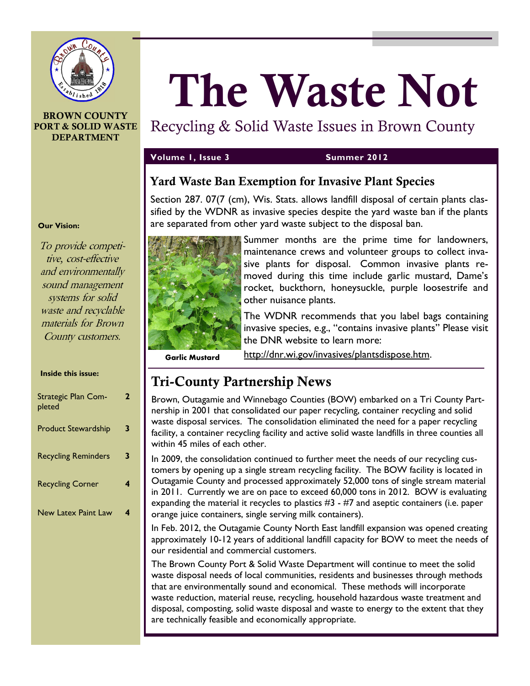

#### **BROWN COUNTY PORT & SOLID WASTE DEPARTMENT**

# **The Waste Not**

# Recycling & Solid Waste Issues in Brown County

#### **Volume 1, Issue 3 Summer 2012**

# **Yard Waste Ban Exemption for Invasive Plant Species**

Section 287. 07(7 (cm), Wis. Stats. allows landfill disposal of certain plants classified by the WDNR as invasive species despite the yard waste ban if the plants are separated from other yard waste subject to the disposal ban.



Summer months are the prime time for landowners, maintenance crews and volunteer groups to collect invasive plants for disposal. Common invasive plants removed during this time include garlic mustard, Dame's rocket, buckthorn, honeysuckle, purple loosestrife and other nuisance plants.

The WDNR recommends that you label bags containing invasive species, e.g., "contains invasive plants" Please visit the DNR website to learn more:

**Garlic Mustard**

[http://dnr.wi.gov/invasives/plantsdispose.htm.](http://dnr.wi.gov/invasives/plantsdispose.htm)

# **Tri-County Partnership News**

Brown, Outagamie and Winnebago Counties (BOW) embarked on a Tri County Partnership in 2001 that consolidated our paper recycling, container recycling and solid waste disposal services. The consolidation eliminated the need for a paper recycling facility, a container recycling facility and active solid waste landfills in three counties all within 45 miles of each other.

In 2009, the consolidation continued to further meet the needs of our recycling customers by opening up a single stream recycling facility. The BOW facility is located in Outagamie County and processed approximately 52,000 tons of single stream material in 2011. Currently we are on pace to exceed 60,000 tons in 2012. BOW is evaluating expanding the material it recycles to plastics  $#3 - #7$  and aseptic containers (i.e. paper orange juice containers, single serving milk containers).

In Feb. 2012, the Outagamie County North East landfill expansion was opened creating approximately 10-12 years of additional landfill capacity for BOW to meet the needs of our residential and commercial customers.

The Brown County Port & Solid Waste Department will continue to meet the solid waste disposal needs of local communities, residents and businesses through methods that are environmentally sound and economical. These methods will incorporate waste reduction, material reuse, recycling, household hazardous waste treatment and disposal, composting, solid waste disposal and waste to energy to the extent that they are technically feasible and economically appropriate.

#### **Our Vision:**

To provide competitive, cost-effective and environmentally sound management systems for solid waste and recyclable materials for Brown County customers.

#### **Inside this issue:**

| Strategic Plan Com-<br>pleted | 2 |
|-------------------------------|---|
| <b>Product Stewardship</b>    | 3 |
| <b>Recycling Reminders</b>    | 3 |
| <b>Recycling Corner</b>       |   |
| <b>New Latex Paint Law</b>    |   |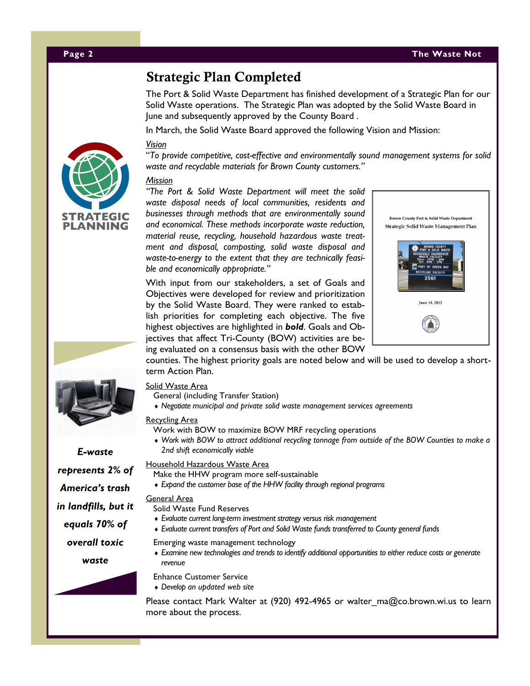# **Strategic Plan Completed**

The Port & Solid Waste Department has finished development of a Strategic Plan for our Solid Waste operations. The Strategic Plan was adopted by the Solid Waste Board in June and subsequently approved by the County Board .

In March, the Solid Waste Board approved the following Vision and Mission:

#### *Vision*

"*To provide competitive, cost-effective and environmentally sound management systems for solid waste and recyclable materials for Brown County customers."*

#### *Mission*

*"The Port & Solid Waste Department will meet the solid waste disposal needs of local communities, residents and businesses through methods that are environmentally sound and economical. These methods incorporate waste reduction, material reuse, recycling, household hazardous waste treatment and disposal, composting, solid waste disposal and waste-to-energy to the extent that they are technically feasible and economically appropriate."*

With input from our stakeholders, a set of Goals and Objectives were developed for review and prioritization by the Solid Waste Board. They were ranked to establish priorities for completing each objective. The five highest objectives are highlighted in *bold*. Goals and Objectives that affect Tri-County (BOW) activities are being evaluated on a consensus basis with the other BOW



counties. The highest priority goals are noted below and will be used to develop a shortterm Action Plan.

#### Solid Waste Area

- General (including Transfer Station)
- *Negotiate municipal and private solid waste management services agreements*

#### Recycling Area

Work with BOW to maximize BOW MRF recycling operations

 *Work with BOW to attract additional recycling tonnage from outside of the BOW Counties to make a 2nd shift economically viable*

#### Household Hazardous Waste Area

- Make the HHW program more self-sustainable
- *Expand the customer base of the HHW facility through regional programs*

#### General Area

- Solid Waste Fund Reserves
- *Evaluate current long-term investment strategy versus risk management*
- *Evaluate current transfers of Port and Solid Waste funds transferred to County general funds*

Emerging waste management technology

 *Examine new technologies and trends to identify additional opportunities to either reduce costs or generate revenue*

Enhance Customer Service

*Develop an updated web site*

Please contact Mark Walter at (920) 492-4965 or walter ma@co.brown.wi.us to learn more about the process.





*E-waste represents 2% of America's trash in landfills, but it equals 70% of overall toxic* 

*waste*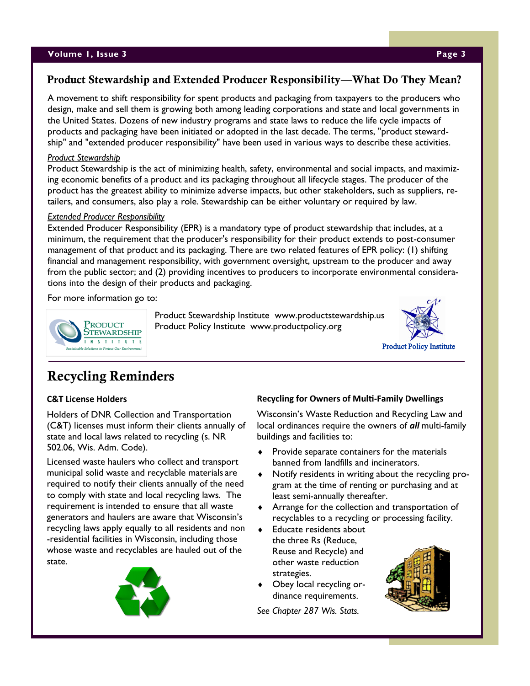#### **Volume 1, Issue 3 Page 3**

## **Product Stewardship and Extended Producer Responsibility—What Do They Mean?**

A movement to shift responsibility for spent products and packaging from taxpayers to the producers who design, make and sell them is growing both among leading corporations and state and local governments in the United States. Dozens of new industry programs and state laws to reduce the life cycle impacts of products and packaging have been initiated or adopted in the last decade. The terms, "product stewardship" and "extended producer responsibility" have been used in various ways to describe these activities.

#### *Product Stewardship*

Product Stewardship is the act of minimizing health, safety, environmental and social impacts, and maximizing economic benefits of a product and its packaging throughout all lifecycle stages. The producer of the product has the greatest ability to minimize adverse impacts, but other stakeholders, such as suppliers, retailers, and consumers, also play a role. Stewardship can be either voluntary or required by law.

#### *Extended Producer Responsibility*

Extended Producer Responsibility (EPR) is a mandatory type of product stewardship that includes, at a minimum, the requirement that the producer's responsibility for their product extends to post-consumer management of that product and its packaging. There are two related features of EPR policy: (1) shifting financial and management responsibility, with government oversight, upstream to the producer and away from the public sector; and (2) providing incentives to producers to incorporate environmental considerations into the design of their products and packaging.

For more information go to:



 Product Stewardship Institute www.productstewardship.us Product Policy Institute www.productpolicy.org



# **Recycling Reminders**

#### **C&T License Holders**

Holders of DNR Collection and Transportation (C&T) licenses must inform their clients annually of state and local laws related to recycling (s. NR 502.06, Wis. Adm. Code).

Licensed waste haulers who collect and transport municipal solid waste and recyclable materials are required to notify their clients annually of the need to comply with state and local recycling laws. The requirement is intended to ensure that all waste generators and haulers are aware that Wisconsin's recycling laws apply equally to all residents and non -residential facilities in Wisconsin, including those whose waste and recyclables are hauled out of the state.



#### **Recycling for Owners of Multi-Family Dwellings**

Wisconsin's Waste Reduction and Recycling Law and local ordinances require the owners of *all* multi-family buildings and facilities to:

- $\bullet$  Provide separate containers for the materials banned from landfills and incinerators.
- Notify residents in writing about the recycling program at the time of renting or purchasing and at least semi-annually thereafter.
- Arrange for the collection and transportation of recyclables to a recycling or processing facility.
- ◆ Educate residents about the three Rs (Reduce, Reuse and Recycle) and other waste reduction strategies.
- Obey local recycling ordinance requirements.

*See Chapter 287 Wis. Stats.*